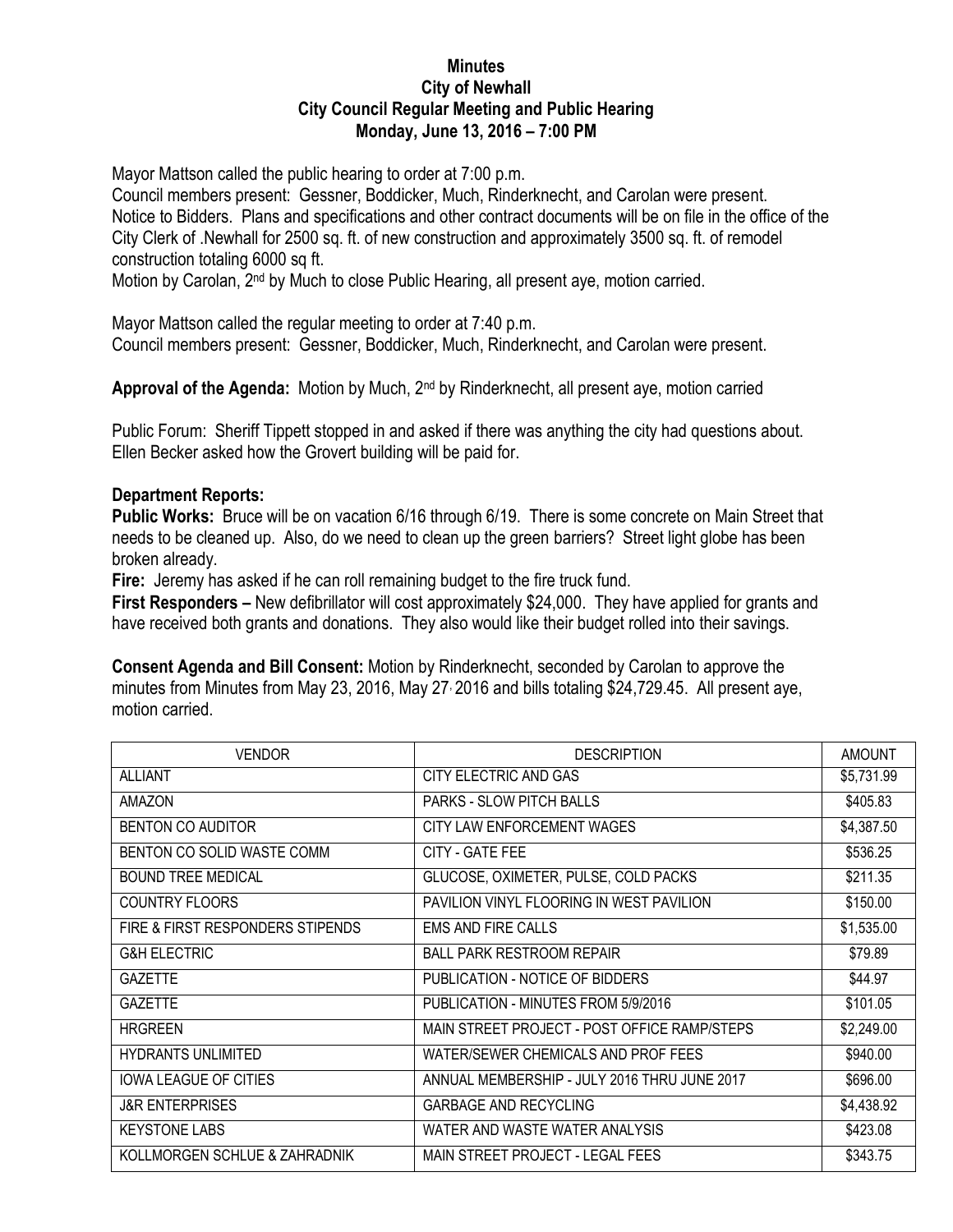## **Minutes City of Newhall City Council Regular Meeting and Public Hearing Monday, June 13, 2016 – 7:00 PM**

Mayor Mattson called the public hearing to order at 7:00 p.m.

Council members present: Gessner, Boddicker, Much, Rinderknecht, and Carolan were present. Notice to Bidders. Plans and specifications and other contract documents will be on file in the office of the City Clerk of .Newhall for 2500 sq. ft. of new construction and approximately 3500 sq. ft. of remodel construction totaling 6000 sq ft.

Motion by Carolan, 2nd by Much to close Public Hearing, all present aye, motion carried.

Mayor Mattson called the regular meeting to order at 7:40 p.m. Council members present: Gessner, Boddicker, Much, Rinderknecht, and Carolan were present.

**Approval of the Agenda:** Motion by Much, 2nd by Rinderknecht, all present aye, motion carried

Public Forum: Sheriff Tippett stopped in and asked if there was anything the city had questions about. Ellen Becker asked how the Grovert building will be paid for.

## **Department Reports:**

**Public Works:** Bruce will be on vacation 6/16 through 6/19. There is some concrete on Main Street that needs to be cleaned up. Also, do we need to clean up the green barriers? Street light globe has been broken already.

**Fire:** Jeremy has asked if he can roll remaining budget to the fire truck fund.

**First Responders –** New defibrillator will cost approximately \$24,000. They have applied for grants and have received both grants and donations. They also would like their budget rolled into their savings.

**Consent Agenda and Bill Consent:** Motion by Rinderknecht, seconded by Carolan to approve the minutes from Minutes from May 23, 2016, May 27, 2016 and bills totaling \$24,729.45. All present aye, motion carried.

| <b>VENDOR</b>                    | <b>DESCRIPTION</b>                           | <b>AMOUNT</b> |
|----------------------------------|----------------------------------------------|---------------|
| <b>ALLIANT</b>                   | CITY ELECTRIC AND GAS                        | \$5,731.99    |
| <b>AMAZON</b>                    | PARKS - SLOW PITCH BALLS                     | \$405.83      |
| <b>BENTON CO AUDITOR</b>         | CITY LAW ENFORCEMENT WAGES                   | \$4,387.50    |
| BENTON CO SOLID WASTE COMM       | CITY - GATE FEE                              | \$536.25      |
| <b>BOUND TREE MEDICAL</b>        | GLUCOSE, OXIMETER, PULSE, COLD PACKS         | \$211.35      |
| <b>COUNTRY FLOORS</b>            | PAVILION VINYL FLOORING IN WEST PAVILION     | \$150.00      |
| FIRE & FIRST RESPONDERS STIPENDS | <b>EMS AND FIRE CALLS</b>                    | \$1,535.00    |
| <b>G&amp;H ELECTRIC</b>          | <b>BALL PARK RESTROOM REPAIR</b>             | \$79.89       |
| <b>GAZETTE</b>                   | PUBLICATION - NOTICE OF BIDDERS              | \$44.97       |
| <b>GAZETTE</b>                   | PUBLICATION - MINUTES FROM 5/9/2016          | \$101.05      |
| <b>HRGREEN</b>                   | MAIN STREET PROJECT - POST OFFICE RAMP/STEPS | \$2,249.00    |
| <b>HYDRANTS UNLIMITED</b>        | WATER/SEWER CHEMICALS AND PROF FEES          | \$940.00      |
| <b>IOWA LEAGUE OF CITIES</b>     | ANNUAL MEMBERSHIP - JULY 2016 THRU JUNE 2017 | \$696.00      |
| <b>J&amp;R ENTERPRISES</b>       | <b>GARBAGE AND RECYCLING</b>                 | \$4,438.92    |
| <b>KEYSTONE LABS</b>             | WATER AND WASTE WATER ANALYSIS               | \$423.08      |
| KOLLMORGEN SCHLUE & ZAHRADNIK    | MAIN STREET PROJECT - LEGAL FEES             | \$343.75      |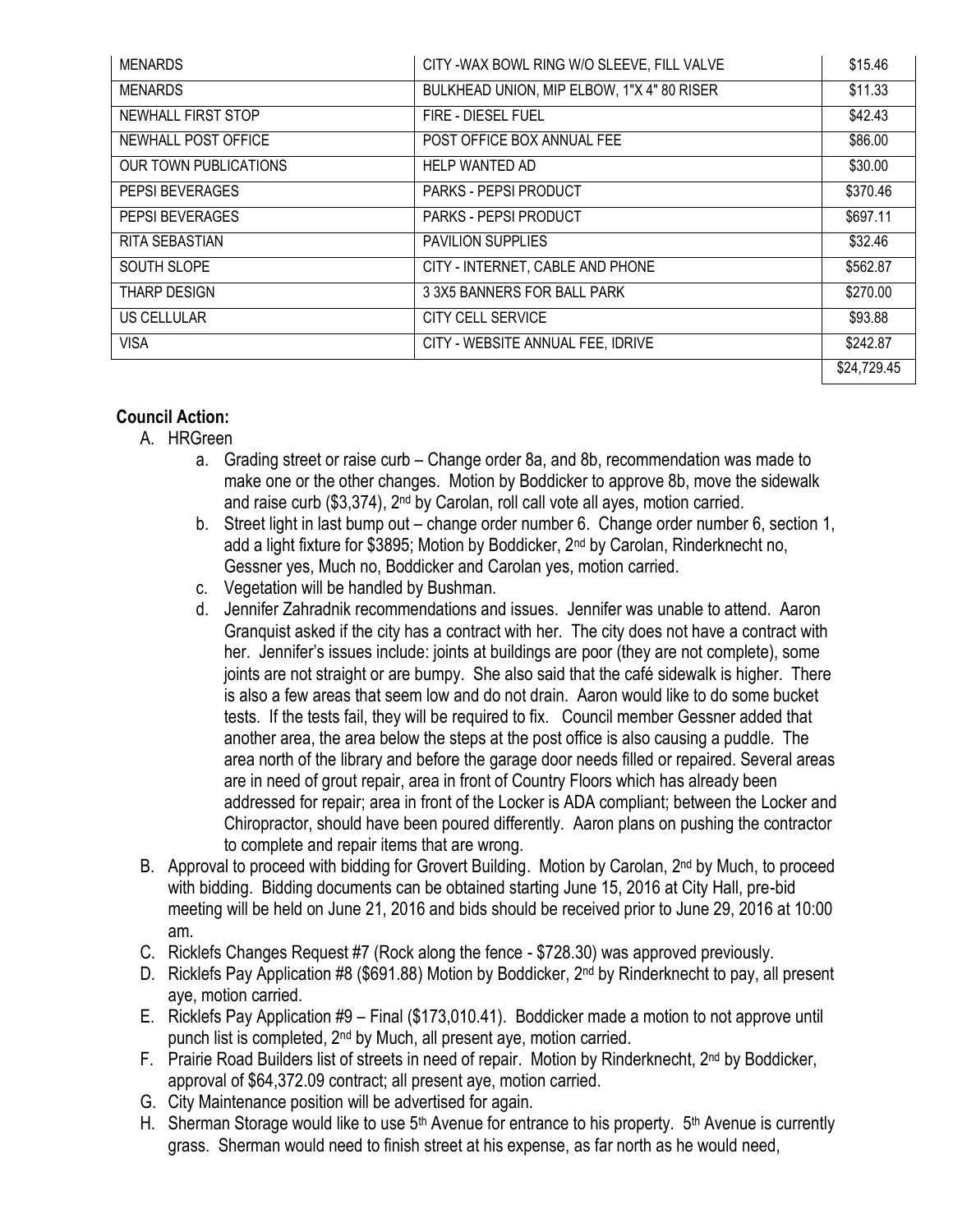| <b>MENARDS</b>               | CITY - WAX BOWL RING W/O SLEEVE, FILL VALVE | \$15.46     |
|------------------------------|---------------------------------------------|-------------|
| MENARDS                      | BULKHEAD UNION, MIP ELBOW, 1"X 4" 80 RISER  | \$11.33     |
| NEWHALL FIRST STOP           | FIRE - DIESEL FUEL                          | \$42.43     |
| NEWHALL POST OFFICE          | POST OFFICE BOX ANNUAL FEE                  | \$86.00     |
| <b>OUR TOWN PUBLICATIONS</b> | <b>HELP WANTED AD</b>                       | \$30.00     |
| PEPSI BEVERAGES              | PARKS - PEPSI PRODUCT                       | \$370.46    |
| PEPSI BEVERAGES              | <b>PARKS - PEPSI PRODUCT</b>                | \$697.11    |
| RITA SEBASTIAN               | <b>PAVILION SUPPLIES</b>                    | \$32.46     |
| SOUTH SLOPE                  | CITY - INTERNET, CABLE AND PHONE            | \$562.87    |
| <b>THARP DESIGN</b>          | 3 3X5 BANNERS FOR BALL PARK                 | \$270.00    |
| US CELLULAR                  | CITY CELL SERVICE                           | \$93.88     |
| <b>VISA</b>                  | CITY - WEBSITE ANNUAL FEE, IDRIVE           | \$242.87    |
|                              |                                             | \$24,729.45 |

## **Council Action:**

- A. HRGreen
	- a. Grading street or raise curb Change order 8a, and 8b, recommendation was made to make one or the other changes. Motion by Boddicker to approve 8b, move the sidewalk and raise curb (\$3,374), 2nd by Carolan, roll call vote all ayes, motion carried.
	- b. Street light in last bump out change order number 6. Change order number 6, section 1, add a light fixture for \$3895; Motion by Boddicker, 2nd by Carolan, Rinderknecht no, Gessner yes, Much no, Boddicker and Carolan yes, motion carried.
	- c. Vegetation will be handled by Bushman.
	- d. Jennifer Zahradnik recommendations and issues. Jennifer was unable to attend. Aaron Granquist asked if the city has a contract with her. The city does not have a contract with her. Jennifer's issues include: joints at buildings are poor (they are not complete), some joints are not straight or are bumpy. She also said that the café sidewalk is higher. There is also a few areas that seem low and do not drain. Aaron would like to do some bucket tests. If the tests fail, they will be required to fix. Council member Gessner added that another area, the area below the steps at the post office is also causing a puddle. The area north of the library and before the garage door needs filled or repaired. Several areas are in need of grout repair, area in front of Country Floors which has already been addressed for repair; area in front of the Locker is ADA compliant; between the Locker and Chiropractor, should have been poured differently. Aaron plans on pushing the contractor to complete and repair items that are wrong.
- B. Approval to proceed with bidding for Grovert Building. Motion by Carolan, 2<sup>nd</sup> by Much, to proceed with bidding. Bidding documents can be obtained starting June 15, 2016 at City Hall, pre-bid meeting will be held on June 21, 2016 and bids should be received prior to June 29, 2016 at 10:00 am.
- C. Ricklefs Changes Request #7 (Rock along the fence \$728.30) was approved previously.
- D. Ricklefs Pay Application #8 (\$691.88) Motion by Boddicker, 2<sup>nd</sup> by Rinderknecht to pay, all present aye, motion carried.
- E. Ricklefs Pay Application #9 Final (\$173,010.41). Boddicker made a motion to not approve until punch list is completed, 2nd by Much, all present aye, motion carried.
- F. Prairie Road Builders list of streets in need of repair. Motion by Rinderknecht, 2<sup>nd</sup> by Boddicker, approval of \$64,372.09 contract; all present aye, motion carried.
- G. City Maintenance position will be advertised for again.
- H. Sherman Storage would like to use 5<sup>th</sup> Avenue for entrance to his property. 5<sup>th</sup> Avenue is currently grass. Sherman would need to finish street at his expense, as far north as he would need,